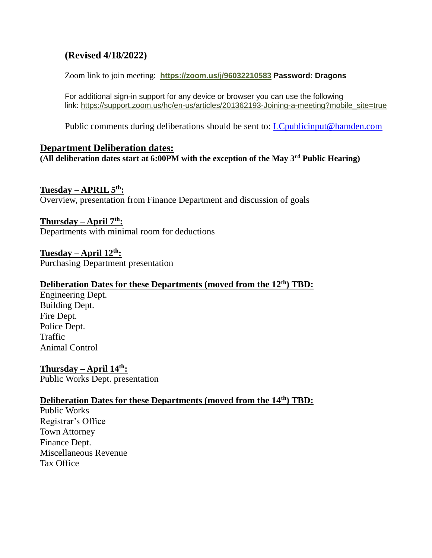# **(Revised 4/18/2022)**

Zoom link to join meeting: **<https://zoom.us/j/96032210583> Password: Dragons**

For additional sign-in support for any device or browser you can use the following link: [https://support.zoom.us/hc/en-us/articles/201362193-Joining-a-meeting?mobile\\_site=true](https://support.zoom.us/hc/en-us/articles/201362193-Joining-a-meeting?mobile_site=true)

Public comments during deliberations should be sent to: *LCpublicinput@hamden.com* 

## **Department Deliberation dates:**

**(All deliberation dates start at 6:00PM with the exception of the May 3rd Public Hearing)**

## **Tuesday – APRIL 5th:**

Overview, presentation from Finance Department and discussion of goals

## **Thursday – April 7th:**

Departments with minimal room for deductions

**Tuesday – April 12th:** Purchasing Department presentation

## **Deliberation Dates for these Departments (moved from the 12th) TBD:**

Engineering Dept. Building Dept. Fire Dept. Police Dept. Traffic Animal Control

**Thursday – April 14th:** Public Works Dept. presentation

## **Deliberation Dates for these Departments (moved from the 14th) TBD:**

Public Works Registrar's Office Town Attorney Finance Dept. Miscellaneous Revenue Tax Office